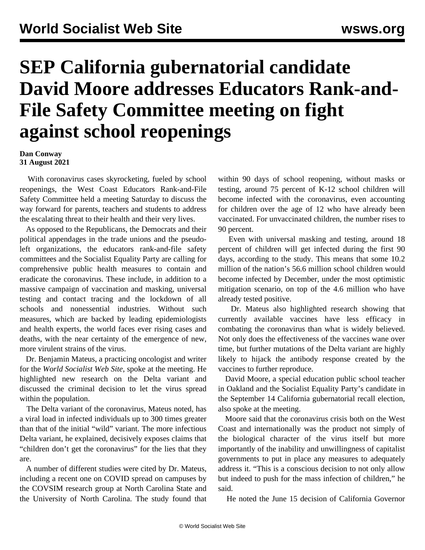## **SEP California gubernatorial candidate David Moore addresses Educators Rank-and-File Safety Committee meeting on fight against school reopenings**

## **Dan Conway 31 August 2021**

 With coronavirus cases skyrocketing, fueled by school reopenings, the West Coast Educators Rank-and-File Safety Committee held a meeting Saturday to discuss the way forward for parents, teachers and students to address the escalating threat to their health and their very lives.

 As opposed to the Republicans, the Democrats and their political appendages in the trade unions and the pseudoleft organizations, the educators rank-and-file safety committees and the Socialist Equality Party are calling for comprehensive public health measures to contain and eradicate the coronavirus. These include, in addition to a massive campaign of vaccination and masking, universal testing and contact tracing and the lockdown of all schools and nonessential industries. Without such measures, which are backed by leading epidemiologists and health experts, the world faces ever rising cases and deaths, with the near certainty of the emergence of new, more virulent strains of the virus.

 Dr. Benjamin Mateus, a practicing oncologist and writer for the *World Socialist Web Site*, spoke at the meeting. He highlighted new research on the Delta variant and discussed the criminal decision to let the virus spread within the population.

 The Delta variant of the coronavirus, Mateus noted, has a viral load in infected individuals up to 300 times greater than that of the initial "wild" variant. The more infectious Delta variant, he explained, decisively exposes claims that "children don't get the coronavirus" for the lies that they are.

 A number of different studies were cited by Dr. Mateus, including a recent one on COVID spread on campuses by the COVSIM research group at North Carolina State and the University of North Carolina. The study found that within 90 days of school reopening, without masks or testing, around 75 percent of K-12 school children will become infected with the coronavirus, even accounting for children over the age of 12 who have already been vaccinated. For unvaccinated children, the number rises to 90 percent.

 Even with universal masking and testing, around 18 percent of children will get infected during the first 90 days, according to the study. This means that some 10.2 million of the nation's 56.6 million school children would become infected by December, under the most optimistic mitigation scenario, on top of the 4.6 million who have already tested positive.

 Dr. Mateus also highlighted research showing that currently available vaccines have less efficacy in combating the coronavirus than what is widely believed. Not only does the effectiveness of the vaccines wane over time, but further mutations of the Delta variant are highly likely to hijack the antibody response created by the vaccines to further reproduce.

 David Moore, a special education public school teacher in Oakland and the Socialist Equality Party's candidate in the September 14 California gubernatorial recall election, also spoke at the meeting.

 Moore said that the coronavirus crisis both on the West Coast and internationally was the product not simply of the biological character of the virus itself but more importantly of the inability and unwillingness of capitalist governments to put in place any measures to adequately address it. "This is a conscious decision to not only allow but indeed to push for the mass infection of children," he said.

He noted the June 15 decision of California Governor